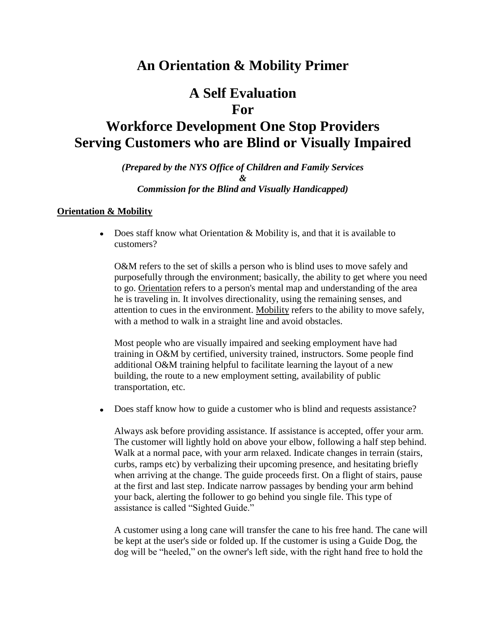# **An Orientation & Mobility Primer**

# **A Self Evaluation For**

# **Workforce Development One Stop Providers Serving Customers who are Blind or Visually Impaired**

#### *(Prepared by the NYS Office of Children and Family Services & Commission for the Blind and Visually Handicapped)*

## **Orientation & Mobility**

Does staff know what Orientation & Mobility is, and that it is available to  $\bullet$ customers?

O&M refers to the set of skills a person who is blind uses to move safely and purposefully through the environment; basically, the ability to get where you need to go. Orientation refers to a person's mental map and understanding of the area he is traveling in. It involves directionality, using the remaining senses, and attention to cues in the environment. Mobility refers to the ability to move safely, with a method to walk in a straight line and avoid obstacles.

Most people who are visually impaired and seeking employment have had training in O&M by certified, university trained, instructors. Some people find additional O&M training helpful to facilitate learning the layout of a new building, the route to a new employment setting, availability of public transportation, etc.

Does staff know how to guide a customer who is blind and requests assistance?

Always ask before providing assistance. If assistance is accepted, offer your arm. The customer will lightly hold on above your elbow, following a half step behind. Walk at a normal pace, with your arm relaxed. Indicate changes in terrain (stairs, curbs, ramps etc) by verbalizing their upcoming presence, and hesitating briefly when arriving at the change. The guide proceeds first. On a flight of stairs, pause at the first and last step. Indicate narrow passages by bending your arm behind your back, alerting the follower to go behind you single file. This type of assistance is called "Sighted Guide."

A customer using a long cane will transfer the cane to his free hand. The cane will be kept at the user's side or folded up. If the customer is using a Guide Dog, the dog will be "heeled," on the owner's left side, with the right hand free to hold the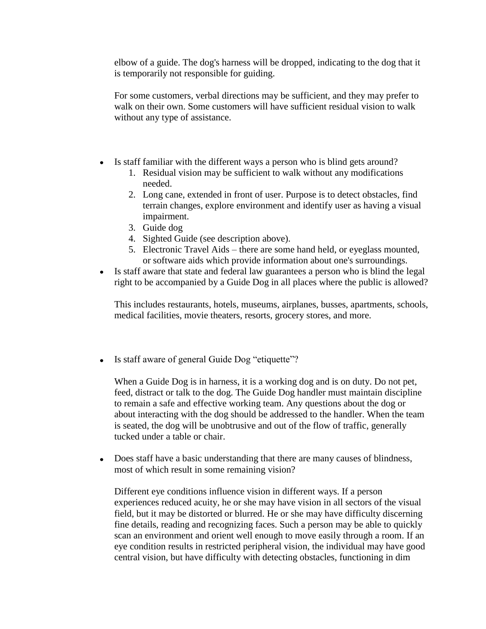elbow of a guide. The dog's harness will be dropped, indicating to the dog that it is temporarily not responsible for guiding.

For some customers, verbal directions may be sufficient, and they may prefer to walk on their own. Some customers will have sufficient residual vision to walk without any type of assistance.

- Is staff familiar with the different ways a person who is blind gets around?
	- 1. Residual vision may be sufficient to walk without any modifications needed.
	- 2. Long cane, extended in front of user. Purpose is to detect obstacles, find terrain changes, explore environment and identify user as having a visual impairment.
	- 3. Guide dog
	- 4. Sighted Guide (see description above).
	- 5. Electronic Travel Aids there are some hand held, or eyeglass mounted, or software aids which provide information about one's surroundings.
- Is staff aware that state and federal law guarantees a person who is blind the legal right to be accompanied by a Guide Dog in all places where the public is allowed?

This includes restaurants, hotels, museums, airplanes, busses, apartments, schools, medical facilities, movie theaters, resorts, grocery stores, and more.

• Is staff aware of general Guide Dog "etiquette"?

When a Guide Dog is in harness, it is a working dog and is on duty. Do not pet, feed, distract or talk to the dog. The Guide Dog handler must maintain discipline to remain a safe and effective working team. Any questions about the dog or about interacting with the dog should be addressed to the handler. When the team is seated, the dog will be unobtrusive and out of the flow of traffic, generally tucked under a table or chair.

 $\bullet$ Does staff have a basic understanding that there are many causes of blindness, most of which result in some remaining vision?

Different eye conditions influence vision in different ways. If a person experiences reduced acuity, he or she may have vision in all sectors of the visual field, but it may be distorted or blurred. He or she may have difficulty discerning fine details, reading and recognizing faces. Such a person may be able to quickly scan an environment and orient well enough to move easily through a room. If an eye condition results in restricted peripheral vision, the individual may have good central vision, but have difficulty with detecting obstacles, functioning in dim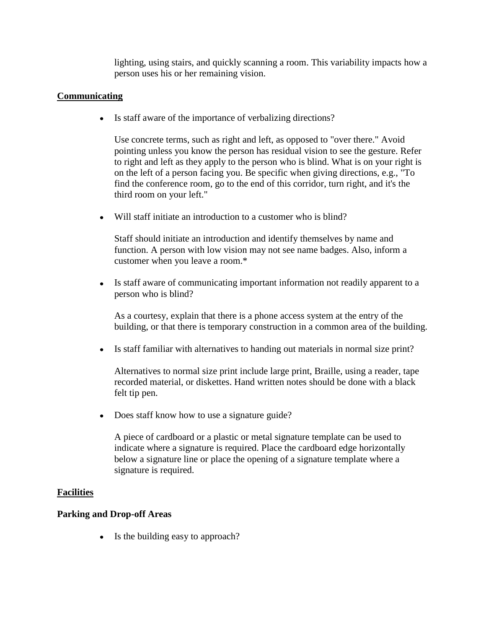lighting, using stairs, and quickly scanning a room. This variability impacts how a person uses his or her remaining vision.

## **Communicating**

Is staff aware of the importance of verbalizing directions?

Use concrete terms, such as right and left, as opposed to "over there." Avoid pointing unless you know the person has residual vision to see the gesture. Refer to right and left as they apply to the person who is blind. What is on your right is on the left of a person facing you. Be specific when giving directions, e.g., "To find the conference room, go to the end of this corridor, turn right, and it's the third room on your left."

Will staff initiate an introduction to a customer who is blind?

Staff should initiate an introduction and identify themselves by name and function. A person with low vision may not see name badges. Also, inform a customer when you leave a room.\*

 $\bullet$ Is staff aware of communicating important information not readily apparent to a person who is blind?

As a courtesy, explain that there is a phone access system at the entry of the building, or that there is temporary construction in a common area of the building.

Is staff familiar with alternatives to handing out materials in normal size print?

Alternatives to normal size print include large print, Braille, using a reader, tape recorded material, or diskettes. Hand written notes should be done with a black felt tip pen.

• Does staff know how to use a signature guide?

A piece of cardboard or a plastic or metal signature template can be used to indicate where a signature is required. Place the cardboard edge horizontally below a signature line or place the opening of a signature template where a signature is required.

## **Facilities**

## **Parking and Drop-off Areas**

• Is the building easy to approach?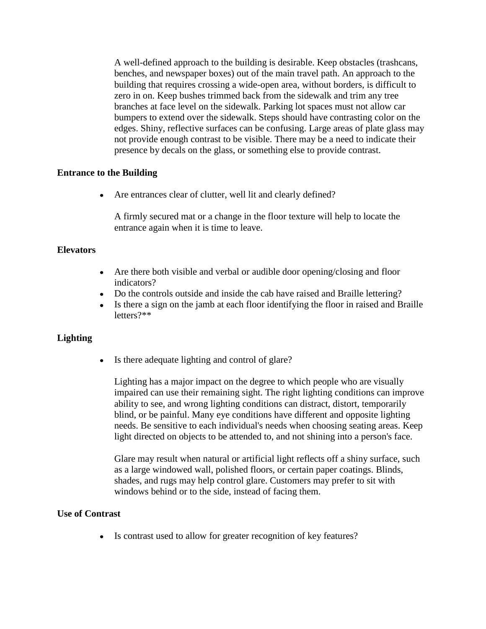A well-defined approach to the building is desirable. Keep obstacles (trashcans, benches, and newspaper boxes) out of the main travel path. An approach to the building that requires crossing a wide-open area, without borders, is difficult to zero in on. Keep bushes trimmed back from the sidewalk and trim any tree branches at face level on the sidewalk. Parking lot spaces must not allow car bumpers to extend over the sidewalk. Steps should have contrasting color on the edges. Shiny, reflective surfaces can be confusing. Large areas of plate glass may not provide enough contrast to be visible. There may be a need to indicate their presence by decals on the glass, or something else to provide contrast.

#### **Entrance to the Building**

• Are entrances clear of clutter, well lit and clearly defined?

A firmly secured mat or a change in the floor texture will help to locate the entrance again when it is time to leave.

#### **Elevators**

- Are there both visible and verbal or audible door opening/closing and floor indicators?
- Do the controls outside and inside the cab have raised and Braille lettering?
- Is there a sign on the jamb at each floor identifying the floor in raised and Braille  $\bullet$ letters?\*\*

## **Lighting**

• Is there adequate lighting and control of glare?

Lighting has a major impact on the degree to which people who are visually impaired can use their remaining sight. The right lighting conditions can improve ability to see, and wrong lighting conditions can distract, distort, temporarily blind, or be painful. Many eye conditions have different and opposite lighting needs. Be sensitive to each individual's needs when choosing seating areas. Keep light directed on objects to be attended to, and not shining into a person's face.

Glare may result when natural or artificial light reflects off a shiny surface, such as a large windowed wall, polished floors, or certain paper coatings. Blinds, shades, and rugs may help control glare. Customers may prefer to sit with windows behind or to the side, instead of facing them.

#### **Use of Contrast**

• Is contrast used to allow for greater recognition of key features?